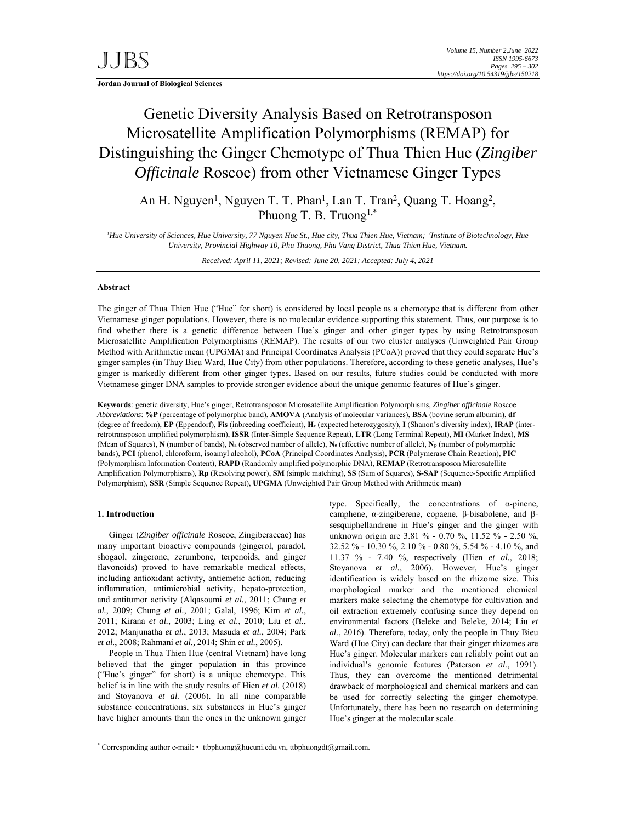**Jordan Journal of Biological Sciences** 

# Genetic Diversity Analysis Based on Retrotransposon Microsatellite Amplification Polymorphisms (REMAP) for Distinguishing the Ginger Chemotype of Thua Thien Hue (*Zingiber Officinale* Roscoe) from other Vietnamese Ginger Types

An H. Nguyen<sup>1</sup>, Nguyen T. T. Phan<sup>1</sup>, Lan T. Tran<sup>2</sup>, Quang T. Hoang<sup>2</sup>, Phuong T. B. Truong<sup>1,\*</sup>

<sup>1</sup>Hue University of Sciences, Hue University, 77 Nguyen Hue St., Hue city, Thua Thien Hue, Vietnam; <sup>2</sup>Institute of Biotechnology, Hue *University, Provincial Highway 10, Phu Thuong, Phu Vang District, Thua Thien Hue, Vietnam.* 

*Received: April 11, 2021; Revised: June 20, 2021; Accepted: July 4, 2021*

# **Abstract**

The ginger of Thua Thien Hue ("Hue" for short) is considered by local people as a chemotype that is different from other Vietnamese ginger populations. However, there is no molecular evidence supporting this statement. Thus, our purpose is to find whether there is a genetic difference between Hue's ginger and other ginger types by using Retrotransposon Microsatellite Amplification Polymorphisms (REMAP). The results of our two cluster analyses (Unweighted Pair Group Method with Arithmetic mean (UPGMA) and Principal Coordinates Analysis (PCoA)) proved that they could separate Hue's ginger samples (in Thuy Bieu Ward, Hue City) from other populations. Therefore, according to these genetic analyses, Hue's ginger is markedly different from other ginger types. Based on our results, future studies could be conducted with more Vietnamese ginger DNA samples to provide stronger evidence about the unique genomic features of Hue's ginger.

**Keywords**: genetic diversity, Hue's ginger, Retrotransposon Microsatellite Amplification Polymorphisms, *Zingiber officinale* Roscoe *Abbreviations*: **%P** (percentage of polymorphic band), **AMOVA** (Analysis of molecular variances), **BSA** (bovine serum albumin), **df** (degree of freedom), **EP** (Eppendorf), **Fis** (inbreeding coefficient), **He** (expected heterozygosity), **I** (Shanon's diversity index), **IRAP** (interretrotransposon amplified polymorphism), **ISSR** (Inter-Simple Sequence Repeat), **LTR** (Long Terminal Repeat), **MI** (Marker Index), **MS** (Mean of Squares), **N** (number of bands), **Na** (observed number of allele), **Ne** (effective number of allele), **Np** (number of polymorphic bands), **PCI** (phenol, chloroform, isoamyl alcohol), **PCoA** (Principal Coordinates Analysis), **PCR** (Polymerase Chain Reaction), **PIC** (Polymorphism Information Content), **RAPD** (Randomly amplified polymorphic DNA), **REMAP** (Retrotransposon Microsatellite Amplification Polymorphisms), **Rp** (Resolving power), **SM** (simple matching), **SS** (Sum of Squares), **S-SAP** (Sequence-Specific Amplified Polymorphism), **SSR** (Simple Sequence Repeat), **UPGMA** (Unweighted Pair Group Method with Arithmetic mean)

#### **1. Introduction**

-

Ginger (*Zingiber officinale* Roscoe, Zingiberaceae) has many important bioactive compounds (gingerol, paradol, shogaol, zingerone, zerumbone, terpenoids, and ginger flavonoids) proved to have remarkable medical effects, including antioxidant activity, antiemetic action, reducing inflammation, antimicrobial activity, hepato-protection, and antitumor activity (Alqasoumi *et al.*, 2011; Chung *et al.*, 2009; Chung *et al.*, 2001; Galal, 1996; Kim *et al.*, 2011; Kirana *et al.*, 2003; Ling *et al.*, 2010; Liu *et al.*, 2012; Manjunatha *et al.*, 2013; Masuda *et al.*, 2004; Park *et al.*, 2008; Rahmani *et al.,* 2014; Shin *et al.*, 2005).

People in Thua Thien Hue (central Vietnam) have long believed that the ginger population in this province ("Hue's ginger" for short) is a unique chemotype. This belief is in line with the study results of Hien *et al.* (2018) and Stoyanova *et al.* (2006). In all nine comparable substance concentrations, six substances in Hue's ginger have higher amounts than the ones in the unknown ginger

type. Specifically, the concentrations of α-pinene, camphene, α-zingiberene, copaene, β-bisabolene, and βsesquiphellandrene in Hue's ginger and the ginger with unknown origin are 3.81 % - 0.70 %, 11.52 % - 2.50 %, 32.52 % - 10.30 %, 2.10 % - 0.80 %, 5.54 % - 4.10 %, and 11.37 % - 7.40 %, respectively (Hien *et al.*, 2018; Stoyanova *et al.*, 2006). However, Hue's ginger identification is widely based on the rhizome size. This morphological marker and the mentioned chemical markers make selecting the chemotype for cultivation and oil extraction extremely confusing since they depend on environmental factors (Beleke and Beleke, 2014; Liu *et al.*, 2016). Therefore, today, only the people in Thuy Bieu Ward (Hue City) can declare that their ginger rhizomes are Hue's ginger. Molecular markers can reliably point out an individual's genomic features (Paterson *et al.*, 1991). Thus, they can overcome the mentioned detrimental drawback of morphological and chemical markers and can be used for correctly selecting the ginger chemotype. Unfortunately, there has been no research on determining Hue's ginger at the molecular scale.

<sup>\*</sup> Corresponding author e-mail: • ttbphuong@hueuni.edu.vn, ttbphuongdt@gmail.com.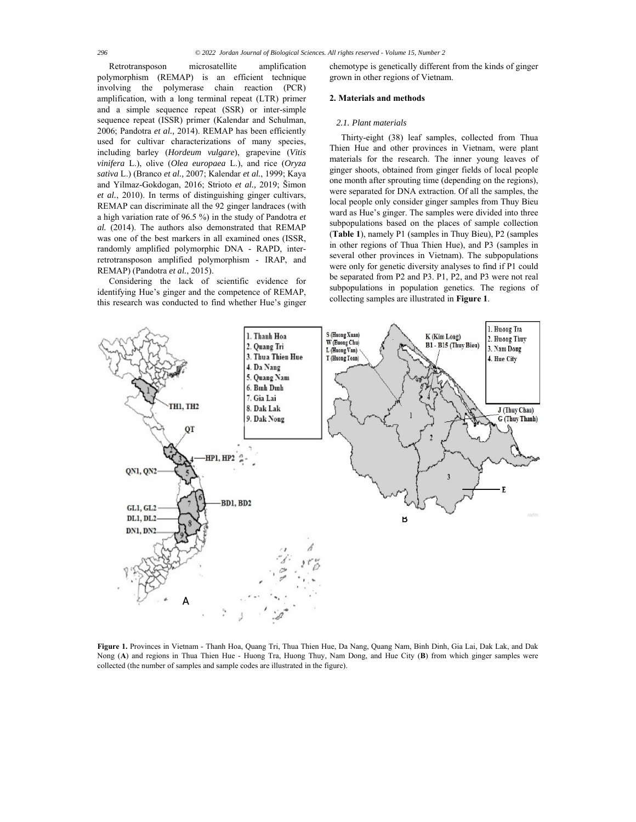Retrotransposon microsatellite amplification polymorphism (REMAP) is an efficient technique involving the polymerase chain reaction (PCR) amplification, with a long terminal repeat (LTR) primer and a simple sequence repeat (SSR) or inter-simple sequence repeat (ISSR) primer (Kalendar and Schulman, 2006; Pandotra *et al.,* 2014). REMAP has been efficiently used for cultivar characterizations of many species, including barley (*Hordeum vulgare*), grapevine (*Vitis vinifera* L.), olive (*Olea europaea* L.), and rice (*Oryza sativa* L.) (Branco *et al.,* 2007; Kalendar *et al.*, 1999; Kaya and Yilmaz-Gokdogan, 2016; Strioto *et al.,* 2019; Šimon *et al.*, 2010). In terms of distinguishing ginger cultivars, REMAP can discriminate all the 92 ginger landraces (with a high variation rate of 96.5 %) in the study of Pandotra *et al.* (2014). The authors also demonstrated that REMAP was one of the best markers in all examined ones (ISSR, randomly amplified polymorphic DNA - RAPD, interretrotransposon amplified polymorphism - IRAP, and REMAP) (Pandotra *et al.*, 2015).

Considering the lack of scientific evidence for identifying Hue's ginger and the competence of REMAP, this research was conducted to find whether Hue's ginger chemotype is genetically different from the kinds of ginger grown in other regions of Vietnam.

# **2. Materials and methods**

#### *2.1. Plant materials*

Thirty-eight (38) leaf samples, collected from Thua Thien Hue and other provinces in Vietnam, were plant materials for the research. The inner young leaves of ginger shoots, obtained from ginger fields of local people one month after sprouting time (depending on the regions), were separated for DNA extraction. Of all the samples, the local people only consider ginger samples from Thuy Bieu ward as Hue's ginger. The samples were divided into three subpopulations based on the places of sample collection (**Table 1**), namely P1 (samples in Thuy Bieu), P2 (samples in other regions of Thua Thien Hue), and P3 (samples in several other provinces in Vietnam). The subpopulations were only for genetic diversity analyses to find if P1 could be separated from P2 and P3. P1, P2, and P3 were not real subpopulations in population genetics. The regions of collecting samples are illustrated in **Figure 1**.



**Figure 1.** Provinces in Vietnam - Thanh Hoa, Quang Tri, Thua Thien Hue, Da Nang, Quang Nam, Binh Dinh, Gia Lai, Dak Lak, and Dak Nong (**A**) and regions in Thua Thien Hue - Huong Tra, Huong Thuy, Nam Dong, and Hue City (**B**) from which ginger samples were collected (the number of samples and sample codes are illustrated in the figure).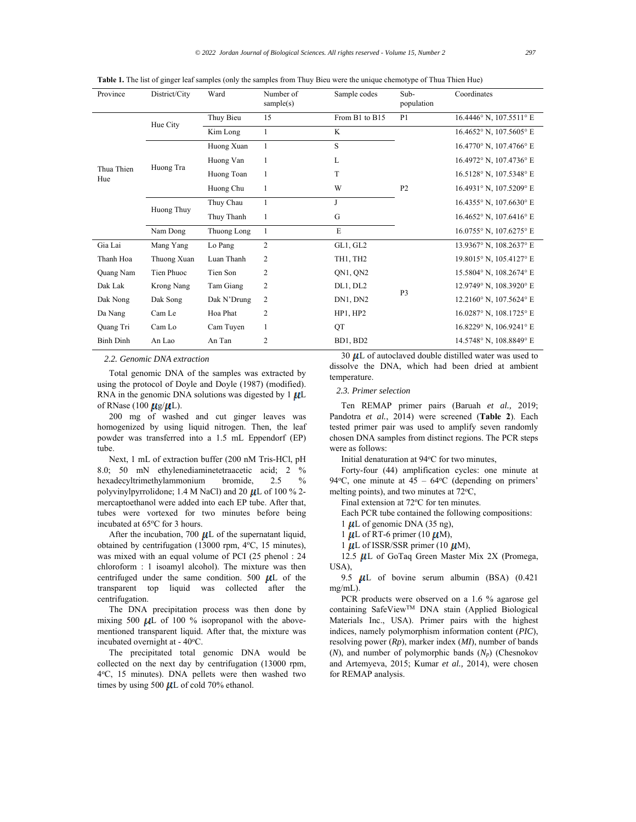|  | <b>Table 1.</b> The list of ginger leaf samples (only the samples from Thuy Bieu were the unique chemotype of Thua Thien Hue) |  |
|--|-------------------------------------------------------------------------------------------------------------------------------|--|
|  |                                                                                                                               |  |

| Province          | District/City     | Ward        | Number of<br>sample(s) | Sample codes      | Sub-<br>population | Coordinates                   |
|-------------------|-------------------|-------------|------------------------|-------------------|--------------------|-------------------------------|
|                   |                   | Thuy Bieu   | 15                     | From B1 to B15    | P <sub>1</sub>     | 16.4446° N, 107.5511° E       |
|                   | Hue City          | Kim Long    | $\mathbf{1}$           | K                 |                    | 16.4652° N, 107.5605° E       |
|                   |                   | Huong Xuan  | $\mathbf{1}$           | S                 |                    | 16.4770° N, 107.4766° E       |
|                   |                   | Huong Van   | 1                      | L                 |                    | 16.4972° N. 107.4736° E       |
| Thua Thien<br>Hue | Huong Tra         | Huong Toan  | $\mathbf{1}$           | T                 |                    | 16.5128° N, 107.5348° E       |
|                   |                   | Huong Chu   | 1                      | W                 | P <sub>2</sub>     | 16.4931° N. 107.5209° E       |
|                   | Huong Thuy        | Thuy Chau   | -1                     | J                 |                    | 16.4355° N, 107.6630° E       |
|                   |                   | Thuy Thanh  | 1                      | G                 |                    | $16.4652$ ° N. $107.6416$ ° E |
|                   | Nam Dong          | Thuong Long | $\mathbf{1}$           | E                 |                    | 16.0755° N, 107.6275° E       |
| Gia Lai           | Mang Yang         | Lo Pang     | $\overline{c}$         | GL1, GL2          |                    | 13.9367° N, 108.2637° E       |
| Thanh Hoa         | Thuong Xuan       | Luan Thanh  | 2                      | TH1, TH2          |                    | 19.8015° N, 105.4127° E       |
| Quang Nam         | Tien Phuoc        | Tien Son    | 2                      | QN1, QN2          |                    | 15.5804° N, 108.2674° E       |
| Dak Lak           | <b>Krong Nang</b> | Tam Giang   | 2                      | DL1, DL2          | P <sub>3</sub>     | 12.9749° N, 108.3920° E       |
| Dak Nong          | Dak Song          | Dak N'Drung | 2                      | DN1, DN2          |                    | 12.2160° N, 107.5624° E       |
| Da Nang           | Cam Le            | Hoa Phat    | 2                      | HP1, HP2          |                    | 16.0287° N, 108.1725° E       |
| Quang Tri         | Cam Lo            | Cam Tuyen   | 1                      | QT                |                    | 16.8229° N, 106.9241° E       |
| <b>Binh Dinh</b>  | An Lao            | An Tan      | 2                      | BD1, BD2<br>20.11 | $\mathbf{1}$       | 14.5748° N, 108.8849° E<br>.  |

*2.2. Genomic DNA extraction* 

Total genomic DNA of the samples was extracted by using the protocol of Doyle and Doyle (1987) (modified). RNA in the genomic DNA solutions was digested by  $1 \mu L$ of RNase (100  $\mu$ g/ $\mu$ L).

200 mg of washed and cut ginger leaves was homogenized by using liquid nitrogen. Then, the leaf powder was transferred into a 1.5 mL Eppendorf (EP) tube.

Next, 1 mL of extraction buffer (200 nM Tris-HCl, pH 8.0; 50 mN ethylenediaminetetraacetic acid; 2 % hexadecyltrimethylammonium bromide, 2.5 % polyvinylpyrrolidone; 1.4 M NaCl) and 20  $\mu$ L of 100 % 2mercaptoethanol were added into each EP tube. After that, tubes were vortexed for two minutes before being incubated at 65°C for 3 hours.

After the incubation, 700  $\mu$ L of the supernatant liquid, obtained by centrifugation (13000 rpm, 4°C, 15 minutes), was mixed with an equal volume of PCI (25 phenol : 24 chloroform : 1 isoamyl alcohol). The mixture was then centrifuged under the same condition. 500  $\mu$ L of the transparent top liquid was collected after the centrifugation.

The DNA precipitation process was then done by mixing 500  $\mu$ L of 100 % isopropanol with the abovementioned transparent liquid. After that, the mixture was incubated overnight at - 40°C.

The precipitated total genomic DNA would be collected on the next day by centrifugation (13000 rpm, 4oC, 15 minutes). DNA pellets were then washed two times by using 500  $\mu$ L of cold 70% ethanol.

 $30 \mu L$  of autoclaved double distilled water was used to dissolve the DNA, which had been dried at ambient temperature.

*2.3. Primer selection* 

Ten REMAP primer pairs (Baruah *et al.,* 2019; Pandotra *et al.*, 2014) were screened (**Table 2**). Each tested primer pair was used to amplify seven randomly chosen DNA samples from distinct regions. The PCR steps were as follows:

Initial denaturation at 94°C for two minutes,

Forty-four (44) amplification cycles: one minute at 94 $\degree$ C, one minute at 45 – 64 $\degree$ C (depending on primers' melting points), and two minutes at  $72^{\circ}$ C,

Final extension at 72°C for ten minutes.

Each PCR tube contained the following compositions:

1  $\mu$ L of genomic DNA (35 ng),

1  $\mu$ L of RT-6 primer (10  $\mu$ M),

1  $\mu$ L of ISSR/SSR primer (10  $\mu$ M),

12.5  $\mu$ L of GoTaq Green Master Mix 2X (Promega, USA),

9.5  $\mu$ L of bovine serum albumin (BSA) (0.421 mg/mL).

PCR products were observed on a 1.6 % agarose gel containing SafeViewTM DNA stain (Applied Biological Materials Inc., USA). Primer pairs with the highest indices, namely polymorphism information content (*PIC*), resolving power (*Rp*), marker index (*MI*), number of bands (*N*), and number of polymorphic bands (*Np*) (Chesnokov and Artemyeva, 2015; Kumar *et al.,* 2014), were chosen for REMAP analysis.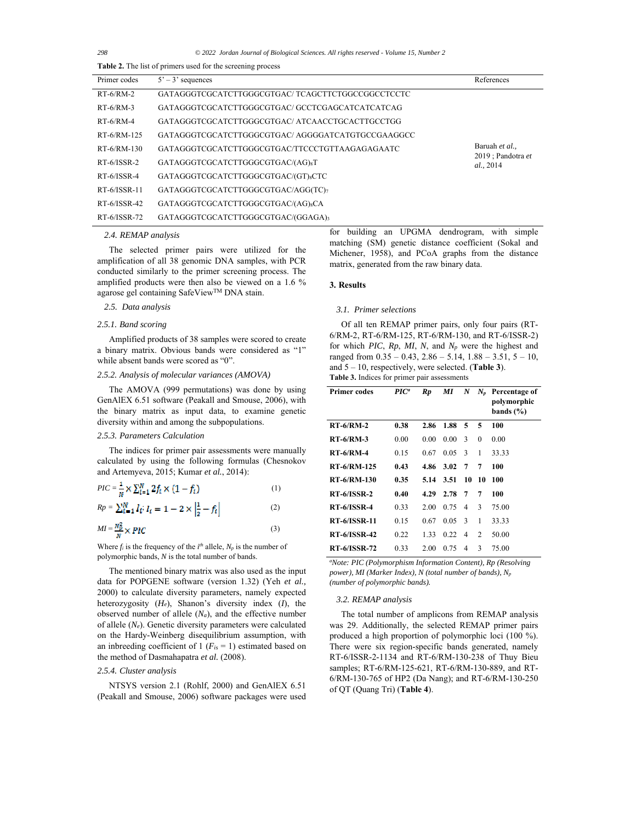*298 © 2022 Jordan Journal of Biological Sciences. All rights reserved - Volume 15, Number 2*

| Table 2. The list of primers used for the screening process |                                                  |                                    |  |  |  |  |
|-------------------------------------------------------------|--------------------------------------------------|------------------------------------|--|--|--|--|
| Primer codes                                                | $5' - 3'$ sequences                              | References                         |  |  |  |  |
| $RT-6/RM-2$                                                 | GATAGGGTCGCATCTTGGGCGTGAC/TCAGCTTCTGGCCGGCCTCCTC |                                    |  |  |  |  |
| $RT-6/RM-3$                                                 | GATAGGGTCGCATCTTGGGCGTGAC/ GCCTCGAGCATCATCATCAG  |                                    |  |  |  |  |
| $RT-6/RM-4$                                                 | GATAGGGTCGCATCTTGGGCGTGAC/ATCAACCTGCACTTGCCTGG   |                                    |  |  |  |  |
| RT-6/RM-125                                                 | GATAGGGTCGCATCTTGGGCGTGAC/AGGGGATCATGTGCCGAAGGCC |                                    |  |  |  |  |
| RT-6/RM-130                                                 | GATAGGGTCGCATCTTGGGCGTGAC/TTCCCTGTTAAGAGAGAATC   | Baruah et al<br>2019 : Pandotra et |  |  |  |  |
| $RT-6/ISSR-2$                                               | GATAGGGTCGCATCTTGGGCGTGAC/(AG) <sub>8</sub> T    | al., 2014                          |  |  |  |  |
| $RT-6/ISSR-4$                                               | GATAGGGTCGCATCTTGGGCGTGAC/(GT) <sub>8</sub> CTC  |                                    |  |  |  |  |
| $RT-6/ISSR-11$                                              | GATAGGGTCGCATCTTGGGCGTGAC/AGG(TC)7               |                                    |  |  |  |  |
| $RT-6/ISSR-42$                                              | GATAGGGTCGCATCTTGGGCGTGAC/(AG) <sub>8</sub> CA   |                                    |  |  |  |  |
| $RT-6/ISSR-72$                                              | GATAGGGTCGCATCTTGGGCGTGAC/(GGAGA)3               |                                    |  |  |  |  |

# *2.4. REMAP analysis*

The selected primer pairs were utilized for the amplification of all 38 genomic DNA samples, with PCR conducted similarly to the primer screening process. The amplified products were then also be viewed on a 1.6 % agarose gel containing SafeViewTM DNA stain.

# *2.5. Data analysis*

# *2.5.1. Band scoring*

Amplified products of 38 samples were scored to create a binary matrix. Obvious bands were considered as "1" while absent bands were scored as "0".

## *2.5.2. Analysis of molecular variances (AMOVA)*

The AMOVA (999 permutations) was done by using GenAlEX 6.51 software (Peakall and Smouse, 2006), with the binary matrix as input data, to examine genetic diversity within and among the subpopulations.

# *2.5.3. Parameters Calculation*

The indices for primer pair assessments were manually calculated by using the following formulas (Chesnokov and Artemyeva, 2015; Kumar *et al.*, 2014):

$$
PIC = \frac{1}{N} \times \sum_{i=1}^{N} 2f_i \times (1 - f_i)
$$
 (1)

$$
Rp = \sum_{t=1}^{N} I_t; I_t = 1 - 2 \times \left| \frac{1}{2} - f_t \right|
$$
 (2)

$$
MI = \frac{N_B^2}{N} \times PIC \tag{3}
$$

Where  $f_i$  is the frequency of the  $i^{th}$  allele,  $N_p$  is the number of polymorphic bands, *N* is the total number of bands.

The mentioned binary matrix was also used as the input data for POPGENE software (version 1.32) (Yeh *et al.,* 2000) to calculate diversity parameters, namely expected heterozygosity (*He*), Shanon's diversity index (*I*), the observed number of allele  $(N_a)$ , and the effective number of allele (*Ne*). Genetic diversity parameters were calculated on the Hardy-Weinberg disequilibrium assumption, with an inbreeding coefficient of  $1$  ( $F_{is} = 1$ ) estimated based on the method of Dasmahapatra *et al.* (2008).

# *2.5.4. Cluster analysis*

NTSYS version 2.1 (Rohlf, 2000) and GenAlEX 6.51 (Peakall and Smouse, 2006) software packages were used

for building an UPGMA dendrogram, with simple matching (SM) genetic distance coefficient (Sokal and Michener, 1958), and PCoA graphs from the distance matrix, generated from the raw binary data.

# **3. Results**

#### *3.1. Primer selections*

Of all ten REMAP primer pairs, only four pairs (RT-6/RM-2, RT-6/RM-125, RT-6/RM-130, and RT-6/ISSR-2) for which *PIC*, *Rp*, *MI*, *N*, and *Np* were the highest and ranged from  $0.35 - 0.43$ ,  $2.86 - 5.14$ ,  $1.88 - 3.51$ ,  $5 - 10$ , and 5 – 10, respectively, were selected. (**Table 3**). **Table 3.** Indices for primer pair assessments

| <b>Primer codes</b> | $\mathbf{PIC}^a$ | Rp   | МI   | $N_{\rm \scriptscriptstyle I}$ |          | $N_n$ Percentage of<br>polymorphic<br>bands $(\% )$ |
|---------------------|------------------|------|------|--------------------------------|----------|-----------------------------------------------------|
| $RT-6/RM-2$         | 0.38             | 2.86 | 1.88 | 5                              | 5        | 100                                                 |
| $RT-6/RM-3$         | 0.00             | 0.00 | 0.00 | 3                              | $\theta$ | 0.00                                                |
| $RT-6/RM-4$         | 0.15             | 0.67 | 0.05 | 3                              | 1        | 33.33                                               |
| <b>RT-6/RM-125</b>  | 0.43             | 4.86 | 3.02 | 7                              | 7        | 100                                                 |
| <b>RT-6/RM-130</b>  | 0.35             | 5.14 | 3.51 | 10                             | 10       | 100                                                 |
| <b>RT-6/ISSR-2</b>  | 0.40             | 4.29 | 2.78 | 7                              | 7        | 100                                                 |
| <b>RT-6/ISSR-4</b>  | 0.33             | 2.00 | 0.75 | 4                              | 3        | 75.00                                               |
| <b>RT-6/ISSR-11</b> | 0.15             | 0.67 | 0.05 | 3                              | 1        | 33.33                                               |
| <b>RT-6/ISSR-42</b> | 0.22             | 1.33 | 0.22 | 4                              | 2        | 50.00                                               |
| <b>RT-6/ISSR-72</b> | 0.33             | 2.00 | 0.75 | 4                              | 3        | 75.00                                               |

*a Note: PIC (Polymorphism Information Content), Rp (Resolving power), MI (Marker Index), N (total number of bands), Np (number of polymorphic bands).*

#### *3.2. REMAP analysis*

The total number of amplicons from REMAP analysis was 29. Additionally, the selected REMAP primer pairs produced a high proportion of polymorphic loci (100 %). There were six region-specific bands generated, namely RT-6/ISSR-2-1134 and RT-6/RM-130-238 of Thuy Bieu samples; RT-6/RM-125-621, RT-6/RM-130-889, and RT-6/RM-130-765 of HP2 (Da Nang); and RT-6/RM-130-250 of QT (Quang Tri) (**Table 4**).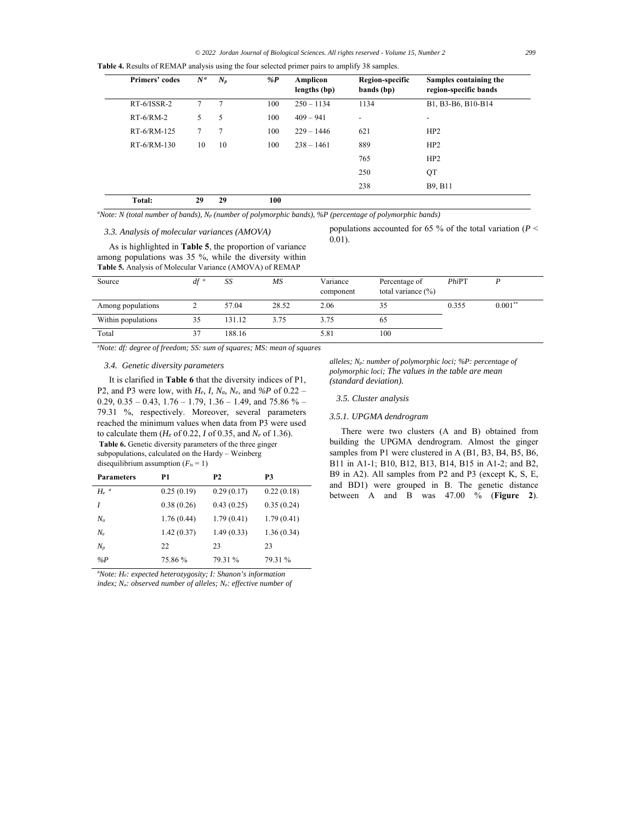| Primers' codes | $N^a$ | $N_p$  | %P  | Amplicon<br>lengths (bp) | Region-specific<br>bands (bp) | Samples containing the<br>region-specific bands |
|----------------|-------|--------|-----|--------------------------|-------------------------------|-------------------------------------------------|
| RT-6/ISSR-2    | 7     | $\tau$ | 100 | $250 - 1134$             | 1134                          | B1, B3-B6, B10-B14                              |
| $RT-6/RM-2$    | 5     | 5      | 100 | $409 - 941$              | $\overline{\phantom{a}}$      | $\overline{\phantom{a}}$                        |
| RT-6/RM-125    | 7     | 7      | 100 | $229 - 1446$             | 621                           | HP2                                             |
| RT-6/RM-130    | 10    | 10     | 100 | $238 - 1461$             | 889                           | HP2                                             |
|                |       |        |     |                          | 765                           | HP2                                             |
|                |       |        |     |                          | 250                           | QT                                              |
|                |       |        |     |                          | 238                           | B9, B11                                         |
| Total:         | 29    | 29     | 100 |                          |                               |                                                 |

*a Note: N (total number of bands), Np (number of polymorphic bands), %P (percentage of polymorphic bands)*

**Table 4.** Results of REMAP analysis using the four selected primer pairs to amplify 38 samples.

#### *3.3. Analysis of molecular variances (AMOVA)*

As is highlighted in **Table 5**, the proportion of variance among populations was 35 %, while the diversity within **Table 5.** Analysis of Molecular Variance (AMOVA) of REMAP

populations accounted for 65 % of the total variation (*P* < 0.01).

| Source             | $df^a$ | SS     | MS    | Variance<br>component | Percentage of<br>total variance $(\% )$ | $Phi$ T |            |
|--------------------|--------|--------|-------|-----------------------|-----------------------------------------|---------|------------|
| Among populations  |        | 57.04  | 28.52 | 2.06                  | 35                                      | 0.355   | $0.001***$ |
| Within populations | 35     | 131.12 | 3.75  | 3.75                  | 60                                      |         |            |
| Total              |        | 188.16 |       | 5.81                  | 100                                     |         |            |

a *Note: df: degree of freedom; SS: sum of squares; MS: mean of squares*

# *3.4. Genetic diversity parameters*

It is clarified in **Table 6** that the diversity indices of P1, P2, and P3 were low, with *He, I, Na, Ne*, and *%P* of 0.22 – 0.29, 0.35 – 0.43,  $1.76 - 1.79$ ,  $1.36 - 1.49$ , and  $75.86 \%$  – 79.31 %, respectively. Moreover, several parameters reached the minimum values when data from P3 were used to calculate them (*He* of 0.22, *I* of 0.35, and *Ne* of 1.36). **Table 6.** Genetic diversity parameters of the three ginger subpopulations, calculated on the Hardy – Weinberg disequilibrium assumption  $(F_{is} = 1)$ 

| <b>Parameters</b>  | P1         | <b>P2</b>  | P3         |
|--------------------|------------|------------|------------|
| $H_e$ <sup>a</sup> | 0.25(0.19) | 0.29(0.17) | 0.22(0.18) |
|                    | 0.38(0.26) | 0.43(0.25) | 0.35(0.24) |
| $N_a$              | 1.76(0.44) | 1.79(0.41) | 1.79(0.41) |
| $N_e$              | 1.42(0.37) | 1.49(0.33) | 1.36(0.34) |
| $N_p$              | 22         | 23         | 23         |
| % $P$              | 75.86 %    | 79.31 %    | 79.31 %    |

a *Note: He: expected heterozygosity; I: Shanon's information index; Na: observed number of alleles; Ne: effective number of*  *alleles; Np: number of polymorphic loci; %P: percentage of polymorphic loci; The values in the table are mean (standard deviation).* 

### *3.5. Cluster analysis*

# *3.5.1. UPGMA dendrogram*

There were two clusters (A and B) obtained from building the UPGMA dendrogram. Almost the ginger samples from P1 were clustered in A (B1, B3, B4, B5, B6, B11 in A1-1; B10, B12, B13, B14, B15 in A1-2; and B2, B9 in A2). All samples from P2 and P3 (except K, S, E, and BD1) were grouped in B. The genetic distance between A and B was 47.00 % (**Figure 2**).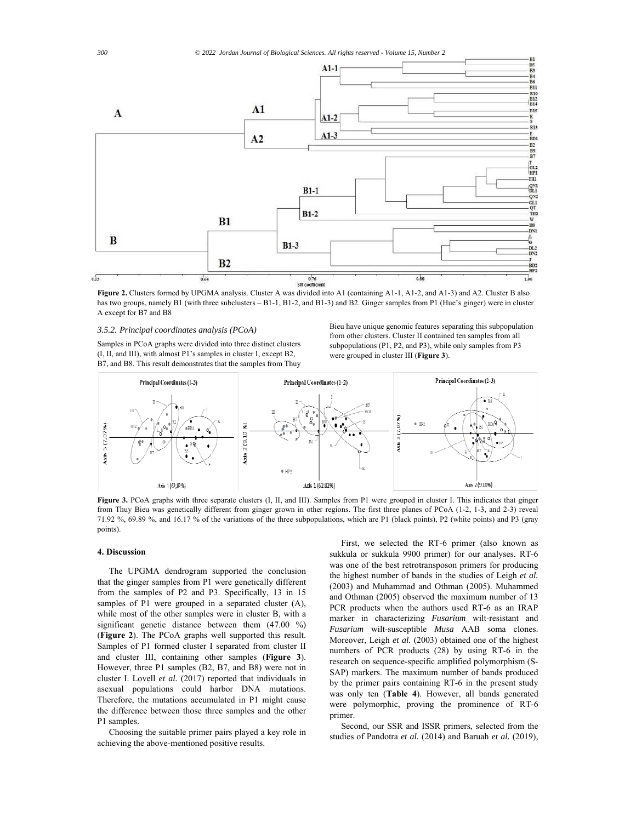

**Figure 2.** Clusters formed by UPGMA analysis. Cluster A was divided into A1 (containing A1-1, A1-2, and A1-3) and A2. Cluster B also has two groups, namely B1 (with three subclusters – B1-1, B1-2, and B1-3) and B2. Ginger samples from P1 (Hue's ginger) were in cluster A except for B7 and B8

#### *3.5.2. Principal coordinates analysis (PCoA)*

Samples in PCoA graphs were divided into three distinct clusters (I, II, and III), with almost P1's samples in cluster I, except B2, B7, and B8. This result demonstrates that the samples from Thuy Bieu have unique genomic features separating this subpopulation from other clusters. Cluster II contained ten samples from all subpopulations (P1, P2, and P3), while only samples from P3 were grouped in cluster III (**Figure 3**).



**Figure 3.** PCoA graphs with three separate clusters (I, II, and III). Samples from P1 were grouped in cluster I. This indicates that ginger from Thuy Bieu was genetically different from ginger grown in other regions. The first three planes of PCoA (1-2, 1-3, and 2-3) reveal 71.92 %, 69.89 %, and 16.17 % of the variations of the three subpopulations, which are P1 (black points), P2 (white points) and P3 (gray points).

# **4. Discussion**

The UPGMA dendrogram supported the conclusion that the ginger samples from P1 were genetically different from the samples of P2 and P3. Specifically, 13 in 15 samples of P1 were grouped in a separated cluster (A), while most of the other samples were in cluster B, with a significant genetic distance between them (47.00 %) (**Figure 2**). The PCoA graphs well supported this result. Samples of P1 formed cluster I separated from cluster II and cluster III, containing other samples (**Figure 3**). However, three P1 samples (B2, B7, and B8) were not in cluster I. Lovell *et al.* (2017) reported that individuals in asexual populations could harbor DNA mutations. Therefore, the mutations accumulated in P1 might cause the difference between those three samples and the other P1 samples.

Choosing the suitable primer pairs played a key role in achieving the above-mentioned positive results.

First, we selected the RT-6 primer (also known as sukkula or sukkula 9900 primer) for our analyses. RT-6 was one of the best retrotransposon primers for producing the highest number of bands in the studies of Leigh *et al.* (2003) and Muhammad and Othman (2005). Muhammed and Othman (2005) observed the maximum number of 13 PCR products when the authors used RT-6 as an IRAP marker in characterizing *Fusarium* wilt-resistant and *Fusarium* wilt-susceptible *Musa* AAB soma clones. Moreover, Leigh et al. (2003) obtained one of the highest numbers of PCR products (28) by using RT-6 in the research on sequence-specific amplified polymorphism (S-SAP) markers. The maximum number of bands produced by the primer pairs containing RT-6 in the present study was only ten (**Table 4**). However, all bands generated were polymorphic, proving the prominence of RT-6 primer.

Second, our SSR and ISSR primers, selected from the studies of Pandotra *et al.* (2014) and Baruah *et al.* (2019),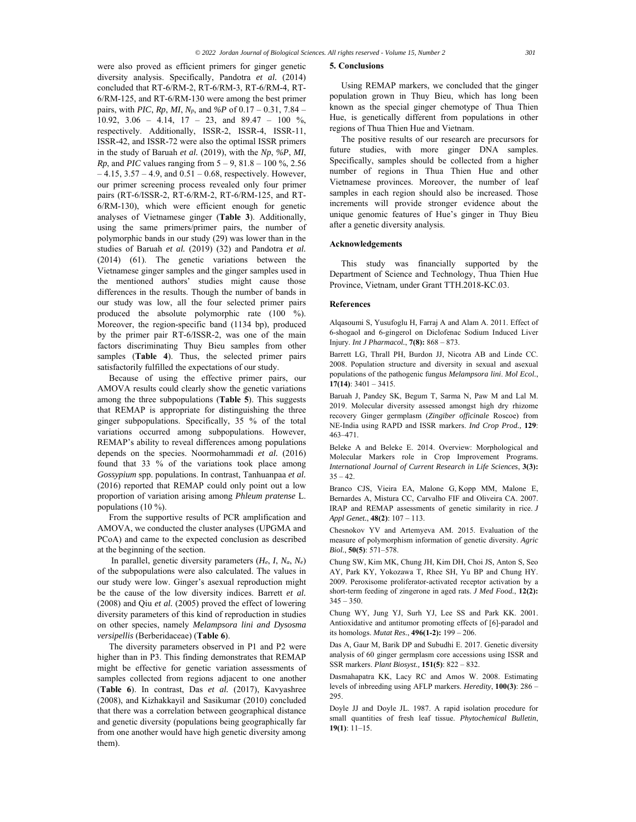were also proved as efficient primers for ginger genetic diversity analysis. Specifically, Pandotra *et al.* (2014) concluded that RT-6/RM-2, RT-6/RM-3, RT-6/RM-4, RT-6/RM-125, and RT-6/RM-130 were among the best primer pairs, with *PIC*, *Rp*, *MI*, *Np*, and *%P* of 0.17 – 0.31, 7.84 – 10.92, 3.06 – 4.14, 17 – 23, and 89.47 – 100 %, respectively. Additionally, ISSR-2, ISSR-4, ISSR-11, ISSR-42, and ISSR-72 were also the optimal ISSR primers in the study of Baruah *et al.* (2019), with the *Np*, *%P*, *MI*, *Rp*, and *PIC* values ranging from 5 – 9, 81.8 – 100 %, 2.56  $-4.15$ ,  $3.57 - 4.9$ , and  $0.51 - 0.68$ , respectively. However, our primer screening process revealed only four primer pairs (RT-6/ISSR-2, RT-6/RM-2, RT-6/RM-125, and RT-6/RM-130), which were efficient enough for genetic analyses of Vietnamese ginger (**Table 3**). Additionally, using the same primers/primer pairs, the number of polymorphic bands in our study (29) was lower than in the studies of Baruah *et al.* (2019) (32) and Pandotra *et al.*  (2014) (61). The genetic variations between the Vietnamese ginger samples and the ginger samples used in the mentioned authors' studies might cause those differences in the results. Though the number of bands in our study was low, all the four selected primer pairs produced the absolute polymorphic rate (100 %). Moreover, the region-specific band (1134 bp), produced by the primer pair RT-6/ISSR-2, was one of the main factors discriminating Thuy Bieu samples from other samples (**Table 4**). Thus, the selected primer pairs satisfactorily fulfilled the expectations of our study.

Because of using the effective primer pairs, our AMOVA results could clearly show the genetic variations among the three subpopulations (**Table 5**). This suggests that REMAP is appropriate for distinguishing the three ginger subpopulations. Specifically, 35 % of the total variations occurred among subpopulations. However, REMAP's ability to reveal differences among populations depends on the species. Noormohammadi *et al.* (2016) found that 33 % of the variations took place among *Gossypium* spp. populations. In contrast, Tanhuanpaa *et al.* (2016) reported that REMAP could only point out a low proportion of variation arising among *Phleum pratense* L. populations (10 %).

From the supportive results of PCR amplification and AMOVA, we conducted the cluster analyses (UPGMA and PCoA) and came to the expected conclusion as described at the beginning of the section.

 In parallel, genetic diversity parameters (*He*, *I*, *Na*, *Ne*) of the subpopulations were also calculated. The values in our study were low. Ginger's asexual reproduction might be the cause of the low diversity indices. Barrett *et al.* (2008) and Qiu *et al.* (2005) proved the effect of lowering diversity parameters of this kind of reproduction in studies on other species, namely *Melampsora lini and Dysosma versipellis* (Berberidaceae) (**Table 6**).

The diversity parameters observed in P1 and P2 were higher than in P3. This finding demonstrates that REMAP might be effective for genetic variation assessments of samples collected from regions adjacent to one another (**Table 6**). In contrast, Das *et al.* (2017), Kavyashree (2008), and Kizhakkayil and Sasikumar (2010) concluded that there was a correlation between geographical distance and genetic diversity (populations being geographically far from one another would have high genetic diversity among them).

#### **5. Conclusions**

Using REMAP markers, we concluded that the ginger population grown in Thuy Bieu, which has long been known as the special ginger chemotype of Thua Thien Hue, is genetically different from populations in other regions of Thua Thien Hue and Vietnam.

The positive results of our research are precursors for future studies, with more ginger DNA samples. Specifically, samples should be collected from a higher number of regions in Thua Thien Hue and other Vietnamese provinces. Moreover, the number of leaf samples in each region should also be increased. Those increments will provide stronger evidence about the unique genomic features of Hue's ginger in Thuy Bieu after a genetic diversity analysis.

#### **Acknowledgements**

This study was financially supported by the Department of Science and Technology, Thua Thien Hue Province, Vietnam, under Grant TTH.2018-KC.03.

# **References**

Alqasoumi S, Yusufoglu H, Farraj A and Alam A. 2011. Effect of 6-shogaol and 6-gingerol on Diclofenac Sodium Induced Liver Injury. *Int J Pharmacol.*, **7(8):** 868 – 873.

Barrett LG, Thrall PH, Burdon JJ, Nicotra AB and Linde CC. 2008. Population structure and diversity in sexual and asexual populations of the pathogenic fungus *Melampsora lini*. *Mol Ecol.*, **17(14)**: 3401 – 3415.

Baruah J, Pandey SK, Begum T, Sarma N, Paw M and Lal M. 2019. Molecular diversity assessed amongst high dry rhizome recovery Ginger germplasm (*Zingiber officinale* Roscoe) from NE-India using RAPD and ISSR markers. *Ind Crop Prod.,* **129**: 463–471.

Beleke A and Beleke E. 2014. Overview: Morphological and Molecular Markers role in Crop Improvement Programs*. International Journal of Current Research in Life Sciences*, **3(3):**  $35 - 42$ .

Branco CJS, Vieira EA, Malone G, Kopp MM, Malone E, Bernardes A, Mistura CC, Carvalho FIF and Oliveira CA. 2007. IRAP and REMAP assessments of genetic similarity in rice. *J Appl Genet.*, **48(2)**: 107 – 113.

Chesnokov YV and Artemyeva AM. 2015. Evaluation of the measure of polymorphism information of genetic diversity. *Agric Biol.*, **50(5)**: 571–578.

Chung SW, Kim MK, Chung JH, Kim DH, Choi JS, Anton S, Seo AY, Park KY, Yokozawa T, Rhee SH, Yu BP and Chung HY. 2009. Peroxisome proliferator-activated receptor activation by a short-term feeding of zingerone in aged rats. *J Med Food.*, **12(2):**  $345 - 350.$ 

Chung WY, Jung YJ, Surh YJ, Lee SS and Park KK. 2001. Antioxidative and antitumor promoting effects of [6]-paradol and its homologs. *Mutat Res.*, **496(1-2):** 199 – 206.

Das A, Gaur M, Barik DP and Subudhi E. 2017. Genetic diversity analysis of 60 ginger germplasm core accessions using ISSR and SSR markers. *Plant Biosyst.,* **151(5)**: 822 – 832.

Dasmahapatra KK, Lacy RC and Amos W. 2008. Estimating levels of inbreeding using AFLP markers. *Heredity*, **100(3)**: 286 – 295.

Doyle JJ and Doyle JL. 1987. A rapid isolation procedure for small quantities of fresh leaf tissue. *Phytochemical Bulletin*, **19(1)**: 11–15.